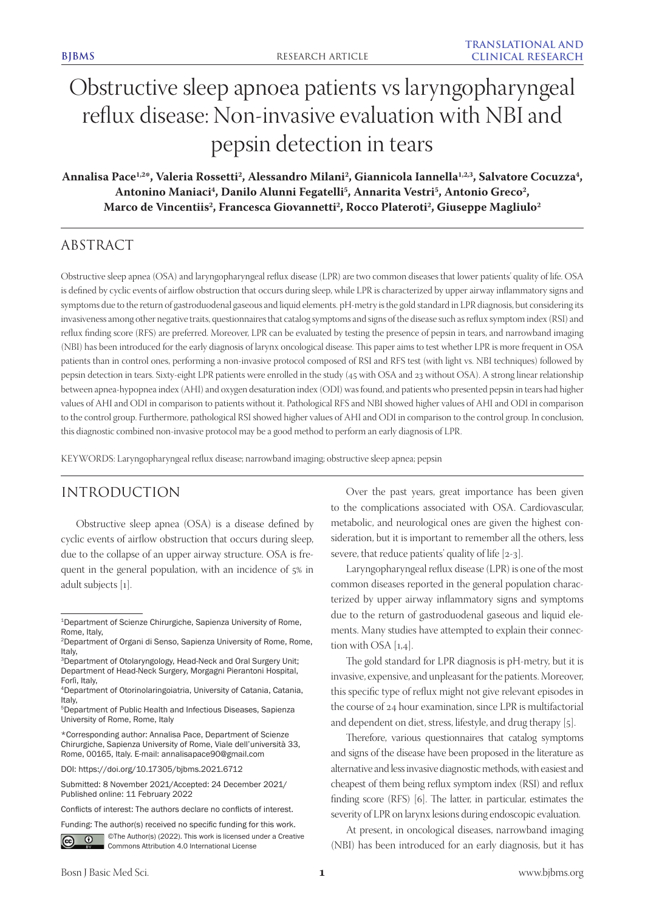# Obstructive sleep apnoea patients vs laryngopharyngeal reflux disease: Non-invasive evaluation with NBI and pepsin detection in tears

Annalisa Pace<sup>1,2</sup>\*, Valeria Rossetti<sup>2</sup>, Alessandro Milani<sup>2</sup>, Giannicola Iannella<sup>1,2,3</sup>, Salvatore Cocuzza<sup>4</sup>, Antonino Maniaci<sup>4</sup>, Danilo Alunni Fegatelli<sup>5</sup>, Annarita Vestri<sup>5</sup>, Antonio Greco<sup>2</sup>, Marco de Vincentiis<sup>2</sup>, Francesca Giovannetti<sup>2</sup>, Rocco Plateroti<sup>2</sup>, Giuseppe Magliulo<sup>2</sup>

# ABSTRACT

Obstructive sleep apnea (OSA) and laryngopharyngeal reflux disease (LPR) are two common diseases that lower patients' quality of life. OSA is defined by cyclic events of airflow obstruction that occurs during sleep, while LPR is characterized by upper airway inflammatory signs and symptoms due to the return of gastroduodenal gaseous and liquid elements. pH-metry is the gold standard in LPR diagnosis, but considering its invasiveness among other negative traits, questionnaires that catalog symptoms and signs of the disease such as reflux symptom index (RSI) and reflux finding score (RFS) are preferred. Moreover, LPR can be evaluated by testing the presence of pepsin in tears, and narrowband imaging (NBI) has been introduced for the early diagnosis of larynx oncological disease. This paper aims to test whether LPR is more frequent in OSA patients than in control ones, performing a non-invasive protocol composed of RSI and RFS test (with light vs. NBI techniques) followed by pepsin detection in tears. Sixty-eight LPR patients were enrolled in the study (45 with OSA and 23 without OSA). A strong linear relationship between apnea-hypopnea index (AHI) and oxygen desaturation index (ODI) was found, and patients who presented pepsin in tears had higher values of AHI and ODI in comparison to patients without it. Pathological RFS and NBI showed higher values of AHI and ODI in comparison to the control group. Furthermore, pathological RSI showed higher values of AHI and ODI in comparison to the control group. In conclusion, this diagnostic combined non-invasive protocol may be a good method to perform an early diagnosis of LPR.

KEYWORDS: Laryngopharyngeal reflux disease; narrowband imaging; obstructive sleep apnea; pepsin

# INTRODUCTION

Obstructive sleep apnea (OSA) is a disease defined by cyclic events of airflow obstruction that occurs during sleep, due to the collapse of an upper airway structure. OSA is frequent in the general population, with an incidence of 5% in adult subjects [1].

Funding: The author(s) received no specific funding for this work.



 $\bigcirc$   $\bigcirc$  ©The Author(s) (2022). This work is licensed under a Creative Commons Attribution 4.0 International License

Over the past years, great importance has been given to the complications associated with OSA. Cardiovascular, metabolic, and neurological ones are given the highest consideration, but it is important to remember all the others, less severe, that reduce patients' quality of life [2-3].

Laryngopharyngeal reflux disease (LPR) is one of the most common diseases reported in the general population characterized by upper airway inflammatory signs and symptoms due to the return of gastroduodenal gaseous and liquid elements. Many studies have attempted to explain their connection with OSA [1,4].

The gold standard for LPR diagnosis is pH-metry, but it is invasive, expensive, and unpleasant for the patients. Moreover, this specific type of reflux might not give relevant episodes in the course of 24 hour examination, since LPR is multifactorial and dependent on diet, stress, lifestyle, and drug therapy [5].

Therefore, various questionnaires that catalog symptoms and signs of the disease have been proposed in the literature as alternative and less invasive diagnostic methods, with easiest and cheapest of them being reflux symptom index (RSI) and reflux finding score (RFS) [6]. The latter, in particular, estimates the severity of LPR on larynx lesions during endoscopic evaluation.

At present, in oncological diseases, narrowband imaging (NBI) has been introduced for an early diagnosis, but it has

<sup>&</sup>lt;sup>1</sup>Department of Scienze Chirurgiche, Sapienza University of Rome, Rome, Italy,

<sup>2</sup>Department of Organi di Senso, Sapienza University of Rome, Rome, Italy,

<sup>3</sup>Department of Otolaryngology, Head-Neck and Oral Surgery Unit; Department of Head-Neck Surgery, Morgagni Pierantoni Hospital, Forlì, Italy,

<sup>4</sup>Department of Otorinolaringoiatria, University of Catania, Catania, Italy,

<sup>5</sup>Department of Public Health and Infectious Diseases, Sapienza University of Rome, Rome, Italy

<sup>\*</sup>Corresponding author: Annalisa Pace, Department of Scienze Chirurgiche, Sapienza University of Rome, Viale dell'università 33, Rome, 00165, Italy. E-mail: annalisapace90@gmail.com

DOI: https://doi.org/10.17305/bjbms.2021.6712

Submitted: 8 November 2021/Accepted: 24 December 2021/ Published online: 11 February 2022

Conflicts of interest: The authors declare no conflicts of interest.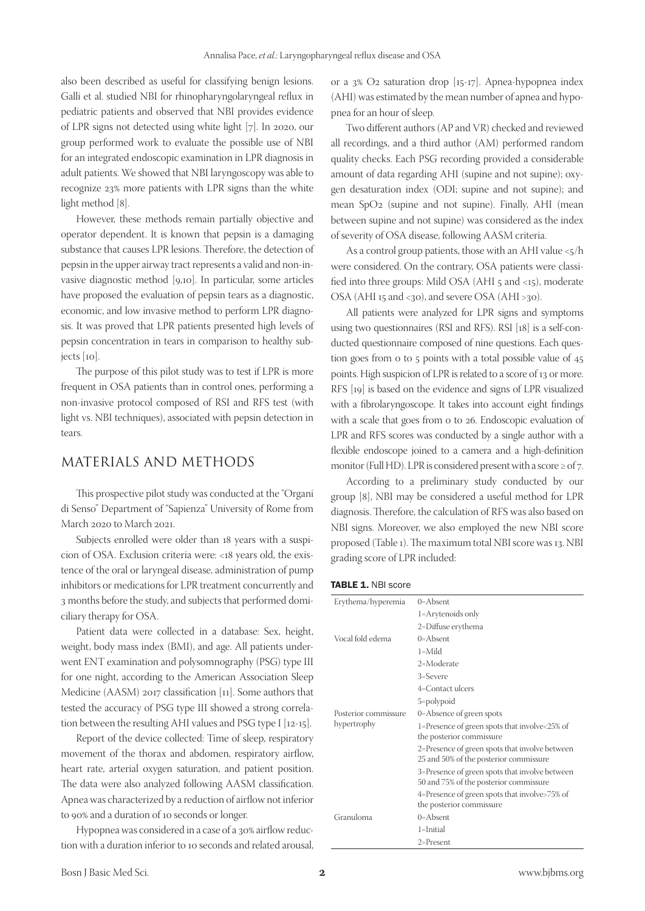also been described as useful for classifying benign lesions. Galli et al. studied NBI for rhinopharyngolaryngeal reflux in pediatric patients and observed that NBI provides evidence of LPR signs not detected using white light [7]. In 2020, our group performed work to evaluate the possible use of NBI for an integrated endoscopic examination in LPR diagnosis in adult patients. We showed that NBI laryngoscopy was able to recognize 23% more patients with LPR signs than the white light method [8].

However, these methods remain partially objective and operator dependent. It is known that pepsin is a damaging substance that causes LPR lesions. Therefore, the detection of pepsin in the upper airway tract represents a valid and non-invasive diagnostic method [9,10]. In particular, some articles have proposed the evaluation of pepsin tears as a diagnostic, economic, and low invasive method to perform LPR diagnosis. It was proved that LPR patients presented high levels of pepsin concentration in tears in comparison to healthy subjects [10].

The purpose of this pilot study was to test if LPR is more frequent in OSA patients than in control ones, performing a non-invasive protocol composed of RSI and RFS test (with light vs. NBI techniques), associated with pepsin detection in tears.

# MATERIALS AND METHODS

This prospective pilot study was conducted at the "Organi di Senso" Department of "Sapienza" University of Rome from March 2020 to March 2021.

Subjects enrolled were older than 18 years with a suspicion of OSA. Exclusion criteria were: <18 years old, the existence of the oral or laryngeal disease, administration of pump inhibitors or medications for LPR treatment concurrently and 3 months before the study, and subjects that performed domiciliary therapy for OSA.

Patient data were collected in a database: Sex, height, weight, body mass index (BMI), and age. All patients underwent ENT examination and polysomnography (PSG) type III for one night, according to the American Association Sleep Medicine (AASM) 2017 classification [11]. Some authors that tested the accuracy of PSG type III showed a strong correlation between the resulting AHI values and PSG type I [12-15].

Report of the device collected: Time of sleep, respiratory movement of the thorax and abdomen, respiratory airflow, heart rate, arterial oxygen saturation, and patient position. The data were also analyzed following AASM classification. Apnea was characterized by a reduction of airflow not inferior to 90% and a duration of 10 seconds or longer.

Hypopnea was considered in a case of a 30% airflow reduction with a duration inferior to 10 seconds and related arousal,

or a 3% O2 saturation drop [15-17]. Apnea-hypopnea index (AHI) was estimated by the mean number of apnea and hypopnea for an hour of sleep.

Two different authors (AP and VR) checked and reviewed all recordings, and a third author (AM) performed random quality checks. Each PSG recording provided a considerable amount of data regarding AHI (supine and not supine); oxygen desaturation index (ODI; supine and not supine); and mean SpO2 (supine and not supine). Finally, AHI (mean between supine and not supine) was considered as the index of severity of OSA disease, following AASM criteria.

As a control group patients, those with an AHI value <5/h were considered. On the contrary, OSA patients were classified into three groups: Mild OSA (AHI  $_5$  and  $\lt 15$ ), moderate OSA (AHI 15 and <30), and severe OSA (AHI >30).

All patients were analyzed for LPR signs and symptoms using two questionnaires (RSI and RFS). RSI [18] is a self-conducted questionnaire composed of nine questions. Each question goes from 0 to 5 points with a total possible value of 45 points. High suspicion of LPR is related to a score of 13 or more. RFS [19] is based on the evidence and signs of LPR visualized with a fibrolaryngoscope. It takes into account eight findings with a scale that goes from 0 to 26. Endoscopic evaluation of LPR and RFS scores was conducted by a single author with a flexible endoscope joined to a camera and a high-definition monitor (Full HD). LPR is considered present with a score  $\geq$  of 7.

According to a preliminary study conducted by our group [8], NBI may be considered a useful method for LPR diagnosis. Therefore, the calculation of RFS was also based on NBI signs. Moreover, we also employed the new NBI score proposed (Table 1). The maximum total NBI score was 13. NBI grading score of LPR included:

TABLE 1. NBI score

| Erythema/hyperemia   | $0 =$ Absent                                                                             |
|----------------------|------------------------------------------------------------------------------------------|
|                      | 1=Arytenoids only                                                                        |
|                      | 2=Diffuse erythema                                                                       |
| Vocal fold edema     | $0 =$ Absent                                                                             |
|                      | $1 = Mid$                                                                                |
|                      | 2=Moderate                                                                               |
|                      | 3=Severe                                                                                 |
|                      | 4=Contact ulcers                                                                         |
|                      | 5=polypoid                                                                               |
| Posterior commissure | 0=Absence of green spots                                                                 |
| hypertrophy          | 1=Presence of green spots that involve<25% of                                            |
|                      | the posterior commissure                                                                 |
|                      | 2=Presence of green spots that involve between<br>25 and 50% of the posterior commissure |
|                      | 3=Presence of green spots that involve between<br>50 and 75% of the posterior commissure |
|                      | 4=Presence of green spots that involve>75% of<br>the posterior commissure                |
| Granuloma            | $0 =$ Absent                                                                             |
|                      | $l =$ Initial                                                                            |
|                      | $2 =$ Present                                                                            |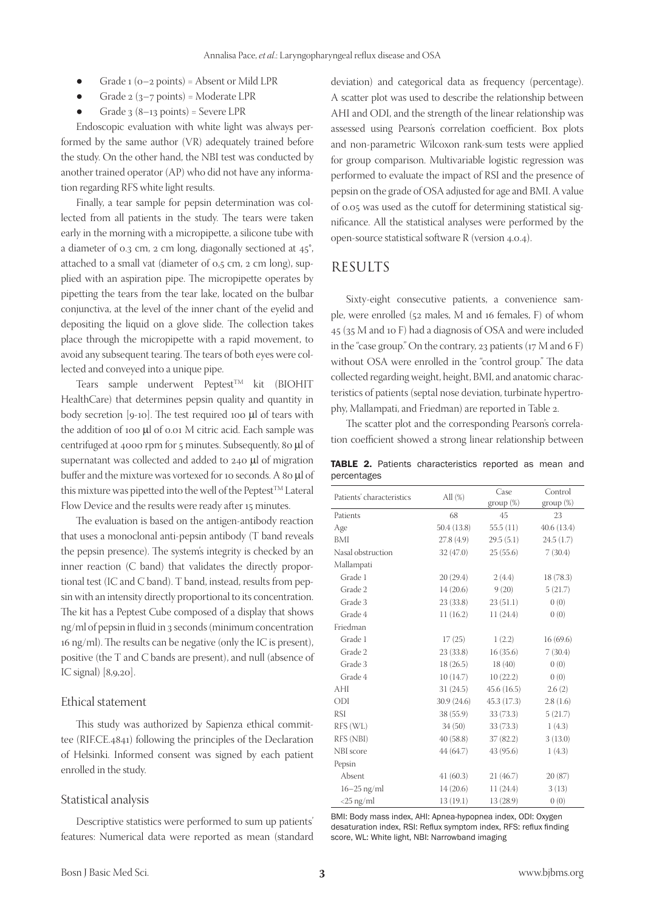- Grade  $1 (o-2 points) =$  Absent or Mild LPR
- Grade  $2(3-7 \text{ points})$  = Moderate LPR
- Grade  $3(8-13 \text{ points})$  = Severe LPR

Endoscopic evaluation with white light was always performed by the same author (VR) adequately trained before the study. On the other hand, the NBI test was conducted by another trained operator (AP) who did not have any information regarding RFS white light results.

Finally, a tear sample for pepsin determination was collected from all patients in the study. The tears were taken early in the morning with a micropipette, a silicone tube with a diameter of 0.3 cm, 2 cm long, diagonally sectioned at 45°, attached to a small vat (diameter of 0,5 cm, 2 cm long), supplied with an aspiration pipe. The micropipette operates by pipetting the tears from the tear lake, located on the bulbar conjunctiva, at the level of the inner chant of the eyelid and depositing the liquid on a glove slide. The collection takes place through the micropipette with a rapid movement, to avoid any subsequent tearing. The tears of both eyes were collected and conveyed into a unique pipe.

Tears sample underwent Peptest™ kit (BIOHIT HealthCare) that determines pepsin quality and quantity in body secretion [9-10]. The test required 100  $\mu$ l of tears with the addition of 100 µl of 0.01 M citric acid. Each sample was centrifuged at 4000 rpm for 5 minutes. Subsequently, 80 µl of supernatant was collected and added to 240 µl of migration buffer and the mixture was vortexed for 10 seconds. A 80  $\mu$ l of this mixture was pipetted into the well of the Peptest<sup>TM</sup> Lateral Flow Device and the results were ready after 15 minutes.

The evaluation is based on the antigen-antibody reaction that uses a monoclonal anti-pepsin antibody (T band reveals the pepsin presence). The system's integrity is checked by an inner reaction (C band) that validates the directly proportional test (IC and C band). T band, instead, results from pepsin with an intensity directly proportional to its concentration. The kit has a Peptest Cube composed of a display that shows ng/ml of pepsin in fluid in 3 seconds (minimum concentration 16 ng/ml). The results can be negative (only the IC is present), positive (the T and C bands are present), and null (absence of IC signal) [8,9,20].

#### Ethical statement

This study was authorized by Sapienza ethical committee (RIF.CE.4841) following the principles of the Declaration of Helsinki. Informed consent was signed by each patient enrolled in the study.

### Statistical analysis

Descriptive statistics were performed to sum up patients' features: Numerical data were reported as mean (standard deviation) and categorical data as frequency (percentage). A scatter plot was used to describe the relationship between AHI and ODI, and the strength of the linear relationship was assessed using Pearson's correlation coefficient. Box plots and non-parametric Wilcoxon rank-sum tests were applied for group comparison. Multivariable logistic regression was performed to evaluate the impact of RSI and the presence of pepsin on the grade of OSA adjusted for age and BMI. A value of 0.05 was used as the cutoff for determining statistical significance. All the statistical analyses were performed by the open-source statistical software R (version 4.0.4).

## **RESULTS**

Sixty-eight consecutive patients, a convenience sample, were enrolled (52 males, M and 16 females, F) of whom 45 (35 M and 10 F) had a diagnosis of OSA and were included in the "case group." On the contrary, 23 patients  $(17 M and 6 F)$ without OSA were enrolled in the "control group." The data collected regarding weight, height, BMI, and anatomic characteristics of patients (septal nose deviation, turbinate hypertrophy, Mallampati, and Friedman) are reported in Table 2.

The scatter plot and the corresponding Pearson's correlation coefficient showed a strong linear relationship between

|             |  | TABLE 2. Patients characteristics reported as mean and |  |  |
|-------------|--|--------------------------------------------------------|--|--|
| percentages |  |                                                        |  |  |

| Patients' characteristics | All $(\%)$  | Case<br>group (%) | Control<br>group (%) |
|---------------------------|-------------|-------------------|----------------------|
| Patients                  | 68          | 45                | 23                   |
| Age                       | 50.4(13.8)  | 55.5(11)          | 40.6(13.4)           |
| BMI                       | 27.8(4.9)   | 29.5(5.1)         | 24.5 (1.7)           |
| Nasal obstruction         | 32(47.0)    | 25(55.6)          | 7(30.4)              |
| Mallampati                |             |                   |                      |
| Grade 1                   | 20(29.4)    | 2(4.4)            | 18 (78.3)            |
| Grade 2                   | 14(20.6)    | 9(20)             | 5(21.7)              |
| Grade 3                   | 23(33.8)    | 23(51.1)          | 0(0)                 |
| Grade 4                   | 11(16.2)    | 11 (24.4)         | 0(0)                 |
| Friedman                  |             |                   |                      |
| Grade 1                   | 17(25)      | 1(2.2)            | 16(69.6)             |
| Grade 2                   | 23(33.8)    | 16(35.6)          | 7(30.4)              |
| Grade 3                   | 18(26.5)    | 18(40)            | 0(0)                 |
| Grade 4                   | 10(14.7)    | 10(22.2)          | 0(0)                 |
| AHI                       | 31(24.5)    | 45.6(16.5)        | 2.6(2)               |
| ODI                       | 30.9 (24.6) | 45.3 (17.3)       | 2.8(1.6)             |
| <b>RSI</b>                | 38 (55.9)   | 33(73.3)          | 5(21.7)              |
| RFS (WL)                  | 34(50)      | 33 (73.3)         | 1(4.3)               |
| RFS (NBI)                 | 40(58.8)    | 37(82.2)          | 3(13.0)              |
| NBI score                 | 44 (64.7)   | 43 (95.6)         | 1(4.3)               |
| Pepsin                    |             |                   |                      |
| Absent                    | 41(60.3)    | 21(46.7)          | 20(87)               |
| $16-25$ ng/ml             | 14(20.6)    | 11(24.4)          | 3(13)                |
| $<$ 25 ng/ml              | 13(19.1)    | 13 (28.9)         | 0(0)                 |

BMI: Body mass index, AHI: Apnea-hypopnea index, ODI: Oxygen desaturation index, RSI: Reflux symptom index, RFS: reflux finding score, WL: White light, NBI: Narrowband imaging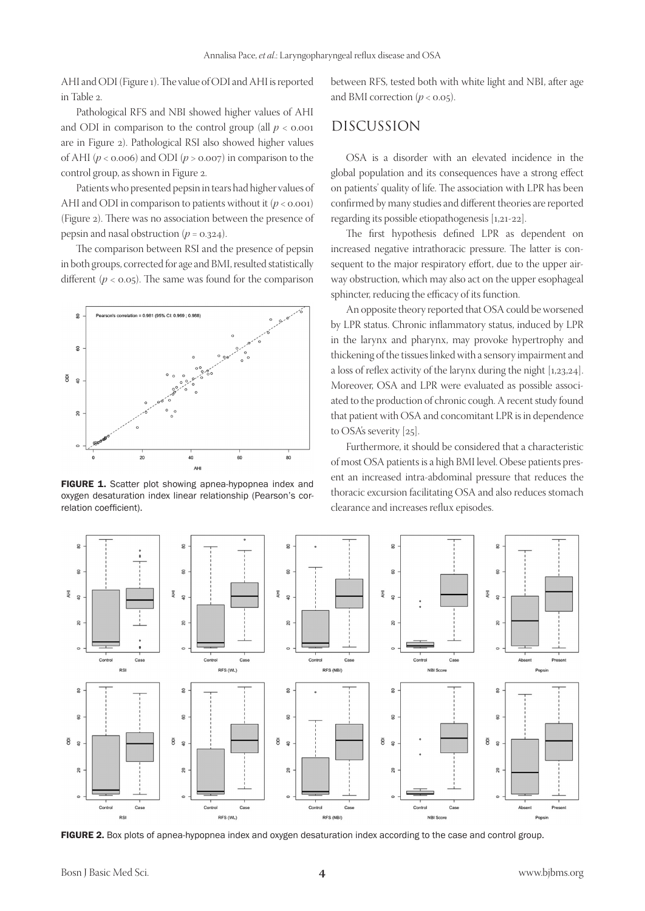AHI and ODI (Figure 1). The value of ODI and AHI is reported in Table 2.

Pathological RFS and NBI showed higher values of AHI and ODI in comparison to the control group (all  $p < 0.001$ ) are in Figure 2). Pathological RSI also showed higher values of AHI ( $p < 0.006$ ) and ODI ( $p > 0.007$ ) in comparison to the control group, as shown in Figure 2.

Patients who presented pepsin in tears had higher values of AHI and ODI in comparison to patients without it  $(p < 0.001)$ (Figure 2). There was no association between the presence of pepsin and nasal obstruction  $(p = 0.324)$ .

The comparison between RSI and the presence of pepsin in both groups, corrected for age and BMI, resulted statistically different  $(p < 0.05)$ . The same was found for the comparison



FIGURE 1. Scatter plot showing apnea-hypopnea index and oxygen desaturation index linear relationship (Pearson's correlation coefficient).

between RFS, tested both with white light and NBI, after age and BMI correction  $(p < 0.05)$ .

# DISCUSSION

OSA is a disorder with an elevated incidence in the global population and its consequences have a strong effect on patients' quality of life. The association with LPR has been confirmed by many studies and different theories are reported regarding its possible etiopathogenesis [1,21-22].

The first hypothesis defined LPR as dependent on increased negative intrathoracic pressure. The latter is consequent to the major respiratory effort, due to the upper airway obstruction, which may also act on the upper esophageal sphincter, reducing the efficacy of its function.

An opposite theory reported that OSA could be worsened by LPR status. Chronic inflammatory status, induced by LPR in the larynx and pharynx, may provoke hypertrophy and thickening of the tissues linked with a sensory impairment and a loss of reflex activity of the larynx during the night [1,23,24]. Moreover, OSA and LPR were evaluated as possible associated to the production of chronic cough. A recent study found that patient with OSA and concomitant LPR is in dependence to OSA's severity [25].

Furthermore, it should be considered that a characteristic of most OSA patients is a high BMI level. Obese patients present an increased intra-abdominal pressure that reduces the thoracic excursion facilitating OSA and also reduces stomach clearance and increases reflux episodes.



FIGURE 2. Box plots of apnea-hypopnea index and oxygen desaturation index according to the case and control group.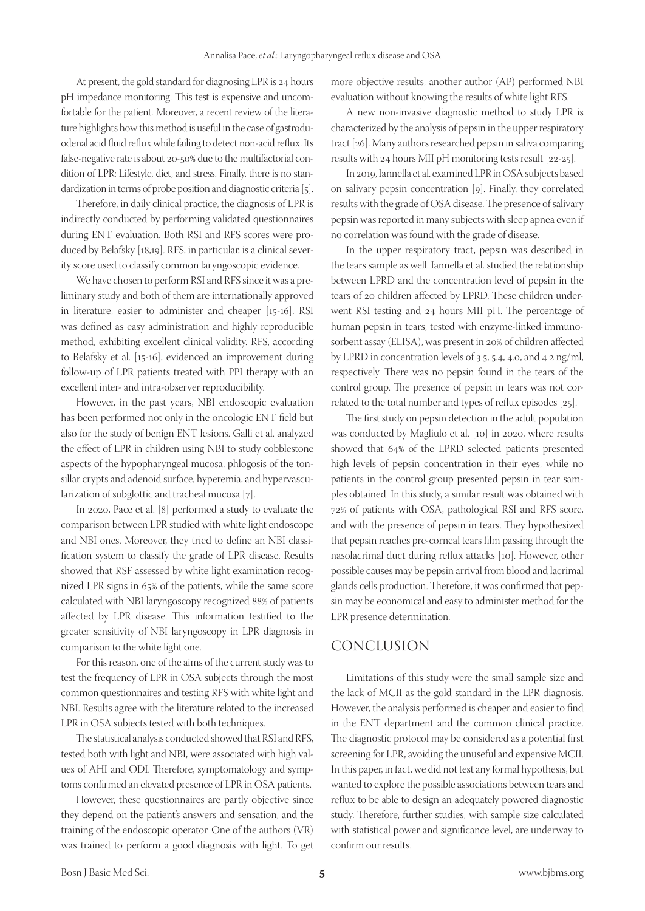At present, the gold standard for diagnosing LPR is 24 hours pH impedance monitoring. This test is expensive and uncomfortable for the patient. Moreover, a recent review of the literature highlights how this method is useful in the case of gastroduodenal acid fluid reflux while failing to detect non-acid reflux. Its false-negative rate is about 20-50% due to the multifactorial condition of LPR: Lifestyle, diet, and stress. Finally, there is no standardization in terms of probe position and diagnostic criteria [5].

Therefore, in daily clinical practice, the diagnosis of LPR is indirectly conducted by performing validated questionnaires during ENT evaluation. Both RSI and RFS scores were produced by Belafsky [18,19]. RFS, in particular, is a clinical severity score used to classify common laryngoscopic evidence.

We have chosen to perform RSI and RFS since it was a preliminary study and both of them are internationally approved in literature, easier to administer and cheaper [15-16]. RSI was defined as easy administration and highly reproducible method, exhibiting excellent clinical validity. RFS, according to Belafsky et al. [15-16], evidenced an improvement during follow-up of LPR patients treated with PPI therapy with an excellent inter- and intra-observer reproducibility.

However, in the past years, NBI endoscopic evaluation has been performed not only in the oncologic ENT field but also for the study of benign ENT lesions. Galli et al. analyzed the effect of LPR in children using NBI to study cobblestone aspects of the hypopharyngeal mucosa, phlogosis of the tonsillar crypts and adenoid surface, hyperemia, and hypervascularization of subglottic and tracheal mucosa [7].

In 2020, Pace et al. [8] performed a study to evaluate the comparison between LPR studied with white light endoscope and NBI ones. Moreover, they tried to define an NBI classification system to classify the grade of LPR disease. Results showed that RSF assessed by white light examination recognized LPR signs in 65% of the patients, while the same score calculated with NBI laryngoscopy recognized 88% of patients affected by LPR disease. This information testified to the greater sensitivity of NBI laryngoscopy in LPR diagnosis in comparison to the white light one.

For this reason, one of the aims of the current study was to test the frequency of LPR in OSA subjects through the most common questionnaires and testing RFS with white light and NBI. Results agree with the literature related to the increased LPR in OSA subjects tested with both techniques.

The statistical analysis conducted showed that RSI and RFS, tested both with light and NBI, were associated with high values of AHI and ODI. Therefore, symptomatology and symptoms confirmed an elevated presence of LPR in OSA patients.

However, these questionnaires are partly objective since they depend on the patient's answers and sensation, and the training of the endoscopic operator. One of the authors (VR) was trained to perform a good diagnosis with light. To get more objective results, another author (AP) performed NBI evaluation without knowing the results of white light RFS.

A new non-invasive diagnostic method to study LPR is characterized by the analysis of pepsin in the upper respiratory tract [26]. Many authors researched pepsin in saliva comparing results with 24 hours MII pH monitoring tests result [22-25].

In 2019, Iannella et al. examined LPR in OSA subjects based on salivary pepsin concentration [9]. Finally, they correlated results with the grade of OSA disease. The presence of salivary pepsin was reported in many subjects with sleep apnea even if no correlation was found with the grade of disease.

In the upper respiratory tract, pepsin was described in the tears sample as well. Iannella et al. studied the relationship between LPRD and the concentration level of pepsin in the tears of 20 children affected by LPRD. These children underwent RSI testing and 24 hours MII pH. The percentage of human pepsin in tears, tested with enzyme-linked immunosorbent assay (ELISA), was present in 20% of children affected by LPRD in concentration levels of 3.5, 5.4, 4.0, and 4.2 ng/ml, respectively. There was no pepsin found in the tears of the control group. The presence of pepsin in tears was not correlated to the total number and types of reflux episodes [25].

The first study on pepsin detection in the adult population was conducted by Magliulo et al. [10] in 2020, where results showed that 64% of the LPRD selected patients presented high levels of pepsin concentration in their eyes, while no patients in the control group presented pepsin in tear samples obtained. In this study, a similar result was obtained with 72% of patients with OSA, pathological RSI and RFS score, and with the presence of pepsin in tears. They hypothesized that pepsin reaches pre-corneal tears film passing through the nasolacrimal duct during reflux attacks [10]. However, other possible causes may be pepsin arrival from blood and lacrimal glands cells production. Therefore, it was confirmed that pepsin may be economical and easy to administer method for the LPR presence determination.

# CONCLUSION

Limitations of this study were the small sample size and the lack of MCII as the gold standard in the LPR diagnosis. However, the analysis performed is cheaper and easier to find in the ENT department and the common clinical practice. The diagnostic protocol may be considered as a potential first screening for LPR, avoiding the unuseful and expensive MCII. In this paper, in fact, we did not test any formal hypothesis, but wanted to explore the possible associations between tears and reflux to be able to design an adequately powered diagnostic study. Therefore, further studies, with sample size calculated with statistical power and significance level, are underway to confirm our results.